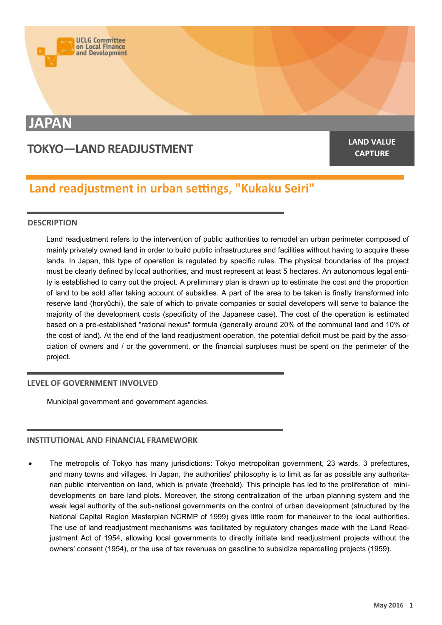

# **JAPAN**

# **TOKYO—LAND READJUSTMENT**

**CAPTURE**

# **Land readjustment in urban settings, "Kukaku Seiri"**

## **DESCRIPTION**

Land readjustment refers to the intervention of public authorities to remodel an urban perimeter composed of mainly privately owned land in order to build public infrastructures and facilities without having to acquire these lands. In Japan, this type of operation is regulated by specific rules. The physical boundaries of the project must be clearly defined by local authorities, and must represent at least 5 hectares. An autonomous legal entity is established to carry out the project. A preliminary plan is drawn up to estimate the cost and the proportion of land to be sold after taking account of subsidies. A part of the area to be taken is finally transformed into reserve land (horyûchi), the sale of which to private companies or social developers will serve to balance the majority of the development costs (specificity of the Japanese case). The cost of the operation is estimated based on a pre-established "rational nexus" formula (generally around 20% of the communal land and 10% of the cost of land). At the end of the land readjustment operation, the potential deficit must be paid by the association of owners and / or the government, or the financial surpluses must be spent on the perimeter of the project.

#### **LEVEL OF GOVERNMENT INVOLVED**

Municipal government and government agencies.

## **INSTITUTIONAL AND FINANCIAL FRAMEWORK**

 The metropolis of Tokyo has many jurisdictions: Tokyo metropolitan government, 23 wards, 3 prefectures, and many towns and villages. In Japan, the authorities' philosophy is to limit as far as possible any authoritarian public intervention on land, which is private (freehold). This principle has led to the proliferation of minidevelopments on bare land plots. Moreover, the strong centralization of the urban planning system and the weak legal authority of the sub-national governments on the control of urban development (structured by the National Capital Region Masterplan NCRMP of 1999) gives little room for maneuver to the local authorities. The use of land readjustment mechanisms was facilitated by regulatory changes made with the Land Readjustment Act of 1954, allowing local governments to directly initiate land readjustment projects without the owners' consent (1954), or the use of tax revenues on gasoline to subsidize reparcelling projects (1959).